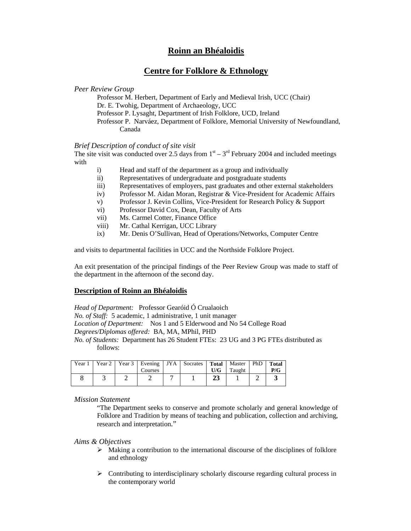## **Roinn an Bhéaloidis**

# **Centre for Folklore & Ethnology**

*Peer Review Group* 

Professor M. Herbert, Department of Early and Medieval Irish, UCC (Chair) Dr. E. Twohig, Department of Archaeology, UCC Professor P. Lysaght, Department of Irish Folklore, UCD, Ireland Professor P. Narváez, Department of Folklore, Memorial University of Newfoundland, Canada

### *Brief Description of conduct of site visit*

The site visit was conducted over 2.5 days from  $1<sup>st</sup> - 3<sup>rd</sup>$  February 2004 and included meetings with

- i) Head and staff of the department as a group and individually
- ii) Representatives of undergraduate and postgraduate students
- iii) Representatives of employers, past graduates and other external stakeholders
- iv) Professor M. Aidan Moran, Registrar & Vice-President for Academic Affairs
- v) Professor J. Kevin Collins, Vice-President for Research Policy & Support
- vi) Professor David Cox, Dean, Faculty of Arts
- vii) Ms. Carmel Cotter, Finance Office
- viii) Mr. Cathal Kerrigan, UCC Library
- ix) Mr. Denis O'Sullivan, Head of Operations/Networks, Computer Centre

and visits to departmental facilities in UCC and the Northside Folklore Project.

An exit presentation of the principal findings of the Peer Review Group was made to staff of the department in the afternoon of the second day.

#### **Description of Roinn an Bhéaloidis**

*Head of Department:* Professor Gearóid Ó Crualaoich *No. of Staff:* 5 academic, 1 administrative, 1 unit manager *Location of Department:* Nos 1 and 5 Elderwood and No 54 College Road *Degrees/Diplomas offered:* BA, MA, MPhil, PHD *No. of Students:* Department has 26 Student FTEs: 23 UG and 3 PG FTEs distributed as follows:

| Year 1 |  | Courses | Year 2   Year 3   Evening   JYA   Socrates   Total   Master | U/G | Taught | PhD Total<br>P/G |
|--------|--|---------|-------------------------------------------------------------|-----|--------|------------------|
|        |  |         |                                                             | 23  |        |                  |

*Mission Statement*

"The Department seeks to conserve and promote scholarly and general knowledge of Folklore and Tradition by means of teaching and publication, collection and archiving, research and interpretation."

*Aims & Objectives* 

- $\triangleright$  Making a contribution to the international discourse of the disciplines of folklore and ethnology
- $\triangleright$  Contributing to interdisciplinary scholarly discourse regarding cultural process in the contemporary world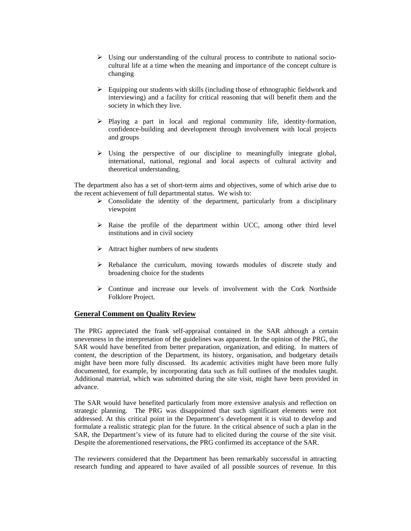- ¾ Using our understanding of the cultural process to contribute to national sociocultural life at a time when the meaning and importance of the concept culture is changing
- $\triangleright$  Equipping our students with skills (including those of ethnographic fieldwork and interviewing) and a facility for critical reasoning that will benefit them and the society in which they live.
- ¾ Playing a part in local and regional community life, identity-formation, confidence-building and development through involvement with local projects and groups
- $\triangleright$  Using the perspective of our discipline to meaningfully integrate global, international, national, regional and local aspects of cultural activity and theoretical understanding.

The department also has a set of short-term aims and objectives, some of which arise due to the recent achievement of full departmental status. We wish to:

- $\triangleright$  Consolidate the identity of the department, particularly from a disciplinary viewpoint
- $\triangleright$  Raise the profile of the department within UCC, among other third level institutions and in civil society
- $\triangleright$  Attract higher numbers of new students
- $\triangleright$  Rebalance the curriculum, moving towards modules of discrete study and broadening choice for the students
- $\triangleright$  Continue and increase our levels of involvement with the Cork Northside Folklore Project.

#### **General Comment on Quality Review**

The PRG appreciated the frank self-appraisal contained in the SAR although a certain unevenness in the interpretation of the guidelines was apparent. In the opinion of the PRG, the SAR would have benefited from better preparation, organization, and editing. In matters of content, the description of the Department, its history, organisation, and budgetary details might have been more fully discussed. Its academic activities might have been more fully documented, for example, by incorporating data such as full outlines of the modules taught. Additional material, which was submitted during the site visit, might have been provided in advance.

The SAR would have benefited particularly from more extensive analysis and reflection on strategic planning. The PRG was disappointed that such significant elements were not addressed. At this critical point in the Department's development it is vital to develop and formulate a realistic strategic plan for the future. In the critical absence of such a plan in the SAR, the Department's view of its future had to elicited during the course of the site visit. Despite the aforementioned reservations, the PRG confirmed its acceptance of the SAR.

The reviewers considered that the Department has been remarkably successful in attracting research funding and appeared to have availed of all possible sources of revenue. In this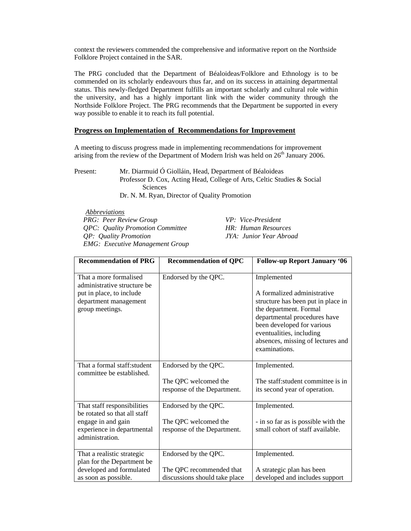context the reviewers commended the comprehensive and informative report on the Northside Folklore Project contained in the SAR.

The PRG concluded that the Department of Béaloideas/Folklore and Ethnology is to be commended on its scholarly endeavours thus far, and on its success in attaining departmental status. This newly-fledged Department fulfills an important scholarly and cultural role within the university, and has a highly important link with the wider community through the Northside Folklore Project. The PRG recommends that the Department be supported in every way possible to enable it to reach its full potential.

### **Progress on Implementation of Recommendations for Improvement**

A meeting to discuss progress made in implementing recommendations for improvement arising from the review of the Department of Modern Irish was held on 26<sup>th</sup> January 2006.

Present: Mr. Diarmuid Ó Giolláin, Head, Department of Béaloideas Professor D. Cox, Acting Head, College of Arts, Celtic Studies & Social Sciences Dr. N. M. Ryan, Director of Quality Promotion

*Abbreviations PRG: Peer Review Group VP: Vice-President QPC: Quality Promotion Committee HR: Human Resources QP: Quality Promotion JYA: Junior Year Abroad EMG: Executive Management Group* 

| <b>Recommendation of PRG</b>                                                                                                       | <b>Recommendation of QPC</b>                                                      | <b>Follow-up Report January '06</b>                                                                                                                                                                                                                        |
|------------------------------------------------------------------------------------------------------------------------------------|-----------------------------------------------------------------------------------|------------------------------------------------------------------------------------------------------------------------------------------------------------------------------------------------------------------------------------------------------------|
| That a more formalised<br>administrative structure be<br>put in place, to include<br>department management<br>group meetings.      | Endorsed by the QPC.                                                              | Implemented<br>A formalized administrative<br>structure has been put in place in<br>the department. Formal<br>departmental procedures have<br>been developed for various<br>eventualities, including<br>absences, missing of lectures and<br>examinations. |
| That a formal staff: student<br>committee be established.                                                                          | Endorsed by the QPC.<br>The QPC welcomed the<br>response of the Department.       | Implemented.<br>The staff: student committee is in<br>its second year of operation.                                                                                                                                                                        |
| That staff responsibilities<br>be rotated so that all staff<br>engage in and gain<br>experience in departmental<br>administration. | Endorsed by the QPC.<br>The QPC welcomed the<br>response of the Department.       | Implemented.<br>- in so far as is possible with the<br>small cohort of staff available.                                                                                                                                                                    |
| That a realistic strategic<br>plan for the Department be<br>developed and formulated<br>as soon as possible.                       | Endorsed by the QPC.<br>The QPC recommended that<br>discussions should take place | Implemented.<br>A strategic plan has been<br>developed and includes support                                                                                                                                                                                |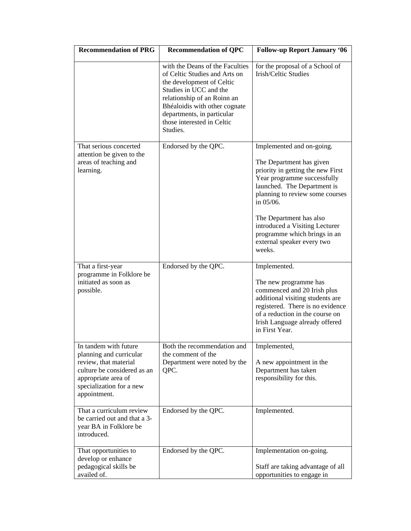| <b>Recommendation of PRG</b>                                                                                                                                                | <b>Recommendation of QPC</b>                                                                                                                                                                                                                                    | <b>Follow-up Report January '06</b>                                                                                                                                                                                                                                                                                                           |
|-----------------------------------------------------------------------------------------------------------------------------------------------------------------------------|-----------------------------------------------------------------------------------------------------------------------------------------------------------------------------------------------------------------------------------------------------------------|-----------------------------------------------------------------------------------------------------------------------------------------------------------------------------------------------------------------------------------------------------------------------------------------------------------------------------------------------|
|                                                                                                                                                                             | with the Deans of the Faculties<br>of Celtic Studies and Arts on<br>the development of Celtic<br>Studies in UCC and the<br>relationship of an Roinn an<br>Bhéaloidis with other cognate<br>departments, in particular<br>those interested in Celtic<br>Studies. | for the proposal of a School of<br>Irish/Celtic Studies                                                                                                                                                                                                                                                                                       |
| That serious concerted<br>attention be given to the<br>areas of teaching and<br>learning.                                                                                   | Endorsed by the QPC.                                                                                                                                                                                                                                            | Implemented and on-going.<br>The Department has given<br>priority in getting the new First<br>Year programme successfully<br>launched. The Department is<br>planning to review some courses<br>in 05/06.<br>The Department has also<br>introduced a Visiting Lecturer<br>programme which brings in an<br>external speaker every two<br>weeks. |
| That a first-year<br>programme in Folklore be<br>initiated as soon as<br>possible.                                                                                          | Endorsed by the QPC.                                                                                                                                                                                                                                            | Implemented.<br>The new programme has<br>commenced and 20 Irish plus<br>additional visiting students are<br>registered. There is no evidence<br>of a reduction in the course on<br>Irish Language already offered<br>in First Year.                                                                                                           |
| In tandem with future<br>planning and curricular<br>review, that material<br>culture be considered as an<br>appropriate area of<br>specialization for a new<br>appointment. | Both the recommendation and<br>the comment of the<br>Department were noted by the<br>QPC.                                                                                                                                                                       | Implemented.<br>A new appointment in the<br>Department has taken<br>responsibility for this.                                                                                                                                                                                                                                                  |
| That a curriculum review<br>be carried out and that a 3-<br>year BA in Folklore be<br>introduced.                                                                           | Endorsed by the QPC.                                                                                                                                                                                                                                            | Implemented.                                                                                                                                                                                                                                                                                                                                  |
| That opportunities to<br>develop or enhance<br>pedagogical skills be<br>availed of.                                                                                         | Endorsed by the QPC.                                                                                                                                                                                                                                            | Implementation on-going.<br>Staff are taking advantage of all<br>opportunities to engage in                                                                                                                                                                                                                                                   |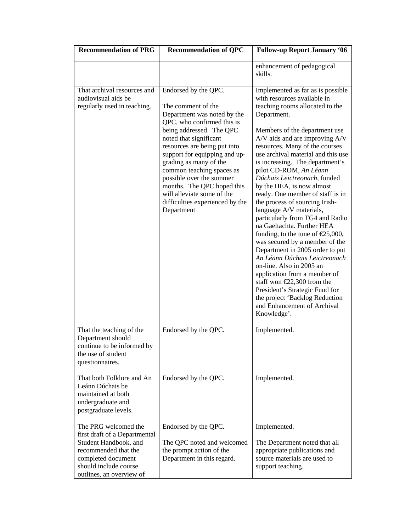| <b>Recommendation of PRG</b>                                                                                                                                                      | <b>Recommendation of QPC</b>                                                                                                                                                                                                                                                                                                                                                                                                   | <b>Follow-up Report January '06</b>                                                                                                                                                                                                                                                                                                                                                                                                                                                                                                                                                                                                                                                                                                                                                                                                                                                                                |
|-----------------------------------------------------------------------------------------------------------------------------------------------------------------------------------|--------------------------------------------------------------------------------------------------------------------------------------------------------------------------------------------------------------------------------------------------------------------------------------------------------------------------------------------------------------------------------------------------------------------------------|--------------------------------------------------------------------------------------------------------------------------------------------------------------------------------------------------------------------------------------------------------------------------------------------------------------------------------------------------------------------------------------------------------------------------------------------------------------------------------------------------------------------------------------------------------------------------------------------------------------------------------------------------------------------------------------------------------------------------------------------------------------------------------------------------------------------------------------------------------------------------------------------------------------------|
|                                                                                                                                                                                   |                                                                                                                                                                                                                                                                                                                                                                                                                                | enhancement of pedagogical<br>skills.                                                                                                                                                                                                                                                                                                                                                                                                                                                                                                                                                                                                                                                                                                                                                                                                                                                                              |
| That archival resources and<br>audiovisual aids be<br>regularly used in teaching.                                                                                                 | Endorsed by the QPC.<br>The comment of the<br>Department was noted by the<br>QPC, who confirmed this is<br>being addressed. The QPC<br>noted that significant<br>resources are being put into<br>support for equipping and up-<br>grading as many of the<br>common teaching spaces as<br>possible over the summer<br>months. The QPC hoped this<br>will alleviate some of the<br>difficulties experienced by the<br>Department | Implemented as far as is possible<br>with resources available in<br>teaching rooms allocated to the<br>Department.<br>Members of the department use<br>A/V aids and are improving A/V<br>resources. Many of the courses<br>use archival material and this use<br>is increasing. The department's<br>pilot CD-ROM, An Léann<br>Dúchais Leictreonach, funded<br>by the HEA, is now almost<br>ready. One member of staff is in<br>the process of sourcing Irish-<br>language A/V materials,<br>particularly from TG4 and Radio<br>na Gaeltachta. Further HEA<br>funding, to the tune of $E$ 5,000,<br>was secured by a member of the<br>Department in 2005 order to put<br>An Léann Dúchais Leictreonach<br>on-line. Also in 2005 an<br>application from a member of<br>staff won $E2,300$ from the<br>President's Strategic Fund for<br>the project 'Backlog Reduction<br>and Enhancement of Archival<br>Knowledge'. |
| That the teaching of the<br>Department should<br>continue to be informed by<br>the use of student<br>questionnaires.                                                              | Endorsed by the QPC.                                                                                                                                                                                                                                                                                                                                                                                                           | Implemented.                                                                                                                                                                                                                                                                                                                                                                                                                                                                                                                                                                                                                                                                                                                                                                                                                                                                                                       |
| That both Folklore and An<br>Leánn Dúchais be<br>maintained at both<br>undergraduate and<br>postgraduate levels.                                                                  | Endorsed by the QPC.                                                                                                                                                                                                                                                                                                                                                                                                           | Implemented.                                                                                                                                                                                                                                                                                                                                                                                                                                                                                                                                                                                                                                                                                                                                                                                                                                                                                                       |
| The PRG welcomed the<br>first draft of a Departmental<br>Student Handbook, and<br>recommended that the<br>completed document<br>should include course<br>outlines, an overview of | Endorsed by the QPC.<br>The QPC noted and welcomed<br>the prompt action of the<br>Department in this regard.                                                                                                                                                                                                                                                                                                                   | Implemented.<br>The Department noted that all<br>appropriate publications and<br>source materials are used to<br>support teaching.                                                                                                                                                                                                                                                                                                                                                                                                                                                                                                                                                                                                                                                                                                                                                                                 |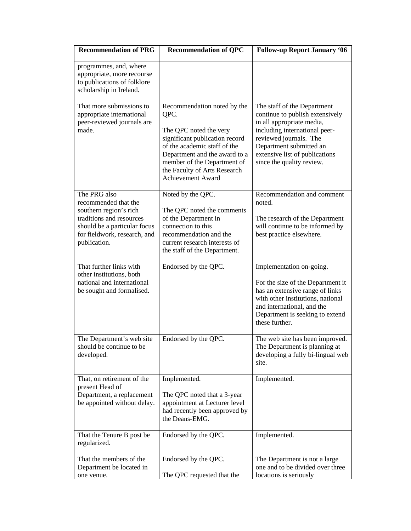| <b>Recommendation of PRG</b>                                                                                                                                               | <b>Recommendation of QPC</b>                                                                                                                                                                                                                                | <b>Follow-up Report January '06</b>                                                                                                                                                                                                              |  |
|----------------------------------------------------------------------------------------------------------------------------------------------------------------------------|-------------------------------------------------------------------------------------------------------------------------------------------------------------------------------------------------------------------------------------------------------------|--------------------------------------------------------------------------------------------------------------------------------------------------------------------------------------------------------------------------------------------------|--|
| programmes, and, where<br>appropriate, more recourse<br>to publications of folklore<br>scholarship in Ireland.                                                             |                                                                                                                                                                                                                                                             |                                                                                                                                                                                                                                                  |  |
| That more submissions to<br>appropriate international<br>peer-reviewed journals are<br>made.                                                                               | Recommendation noted by the<br>QPC.<br>The QPC noted the very<br>significant publication record<br>of the academic staff of the<br>Department and the award to a<br>member of the Department of<br>the Faculty of Arts Research<br><b>Achievement Award</b> | The staff of the Department<br>continue to publish extensively<br>in all appropriate media,<br>including international peer-<br>reviewed journals. The<br>Department submitted an<br>extensive list of publications<br>since the quality review. |  |
| The PRG also<br>recommended that the<br>southern region's rich<br>traditions and resources<br>should be a particular focus<br>for fieldwork, research, and<br>publication. | Noted by the QPC.<br>The QPC noted the comments<br>of the Department in<br>connection to this<br>recommendation and the<br>current research interests of<br>the staff of the Department.                                                                    | Recommendation and comment<br>noted.<br>The research of the Department<br>will continue to be informed by<br>best practice elsewhere.                                                                                                            |  |
| That further links with<br>other institutions, both<br>national and international<br>be sought and formalised.                                                             | Endorsed by the QPC.                                                                                                                                                                                                                                        | Implementation on-going.<br>For the size of the Department it<br>has an extensive range of links<br>with other institutions, national<br>and international, and the<br>Department is seeking to extend<br>these further.                         |  |
| The Department's web site<br>should be continue to be<br>developed.                                                                                                        | Endorsed by the QPC.                                                                                                                                                                                                                                        | The web site has been improved.<br>The Department is planning at<br>developing a fully bi-lingual web<br>site.                                                                                                                                   |  |
| That, on retirement of the<br>present Head of<br>Department, a replacement<br>be appointed without delay.                                                                  | Implemented.<br>The QPC noted that a 3-year<br>appointment at Lecturer level<br>had recently been approved by<br>the Deans-EMG.                                                                                                                             | Implemented.                                                                                                                                                                                                                                     |  |
| That the Tenure B post be<br>regularized.                                                                                                                                  | Endorsed by the QPC.                                                                                                                                                                                                                                        | Implemented.                                                                                                                                                                                                                                     |  |
| That the members of the<br>Department be located in<br>one venue.                                                                                                          | Endorsed by the QPC.<br>The QPC requested that the                                                                                                                                                                                                          | The Department is not a large<br>one and to be divided over three<br>locations is seriously                                                                                                                                                      |  |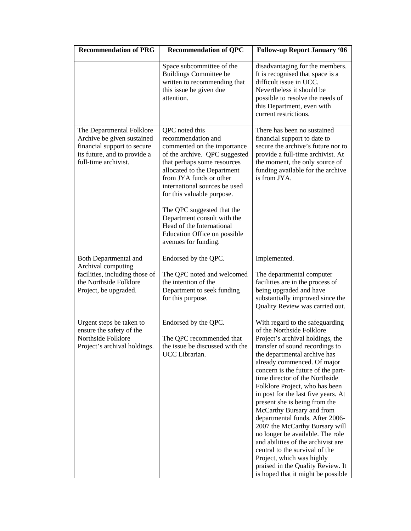| <b>Recommendation of PRG</b>                                                                                                                   | <b>Recommendation of QPC</b>                                                                                                                                                                                                                                                                                                                                                                                   | <b>Follow-up Report January '06</b>                                                                                                                                                                                                                                                                                                                                                                                                                                                                                                                                                                                                                                                                        |  |  |
|------------------------------------------------------------------------------------------------------------------------------------------------|----------------------------------------------------------------------------------------------------------------------------------------------------------------------------------------------------------------------------------------------------------------------------------------------------------------------------------------------------------------------------------------------------------------|------------------------------------------------------------------------------------------------------------------------------------------------------------------------------------------------------------------------------------------------------------------------------------------------------------------------------------------------------------------------------------------------------------------------------------------------------------------------------------------------------------------------------------------------------------------------------------------------------------------------------------------------------------------------------------------------------------|--|--|
|                                                                                                                                                | Space subcommittee of the<br><b>Buildings Committee be</b><br>written to recommending that<br>this issue be given due<br>attention.                                                                                                                                                                                                                                                                            | disadvantaging for the members.<br>It is recognised that space is a<br>difficult issue in UCC.<br>Nevertheless it should be<br>possible to resolve the needs of<br>this Department, even with<br>current restrictions.                                                                                                                                                                                                                                                                                                                                                                                                                                                                                     |  |  |
| The Departmental Folklore<br>Archive be given sustained<br>financial support to secure<br>its future, and to provide a<br>full-time archivist. | QPC noted this<br>recommendation and<br>commented on the importance<br>of the archive. QPC suggested<br>that perhaps some resources<br>allocated to the Department<br>from JYA funds or other<br>international sources be used<br>for this valuable purpose.<br>The QPC suggested that the<br>Department consult with the<br>Head of the International<br>Education Office on possible<br>avenues for funding. | There has been no sustained<br>financial support to date to<br>secure the archive's future nor to<br>provide a full-time archivist. At<br>the moment, the only source of<br>funding available for the archive<br>is from JYA.                                                                                                                                                                                                                                                                                                                                                                                                                                                                              |  |  |
| <b>Both Departmental and</b><br>Archival computing                                                                                             | Endorsed by the QPC.                                                                                                                                                                                                                                                                                                                                                                                           | Implemented.                                                                                                                                                                                                                                                                                                                                                                                                                                                                                                                                                                                                                                                                                               |  |  |
| facilities, including those of<br>the Northside Folklore<br>Project, be upgraded.                                                              | The QPC noted and welcomed<br>the intention of the<br>Department to seek funding<br>for this purpose.                                                                                                                                                                                                                                                                                                          | The departmental computer<br>facilities are in the process of<br>being upgraded and have<br>substantially improved since the<br>Quality Review was carried out.                                                                                                                                                                                                                                                                                                                                                                                                                                                                                                                                            |  |  |
| Urgent steps be taken to<br>ensure the safety of the<br>Northside Folklore<br>Project's archival holdings.                                     | Endorsed by the QPC.<br>The QPC recommended that<br>the issue be discussed with the<br>UCC Librarian.                                                                                                                                                                                                                                                                                                          | With regard to the safeguarding<br>of the Northside Folklore<br>Project's archival holdings, the<br>transfer of sound recordings to<br>the departmental archive has<br>already commenced. Of major<br>concern is the future of the part-<br>time director of the Northside<br>Folklore Project, who has been<br>in post for the last five years. At<br>present she is being from the<br>McCarthy Bursary and from<br>departmental funds. After 2006-<br>2007 the McCarthy Bursary will<br>no longer be available. The role<br>and abilities of the archivist are<br>central to the survival of the<br>Project, which was highly<br>praised in the Quality Review. It<br>is hoped that it might be possible |  |  |